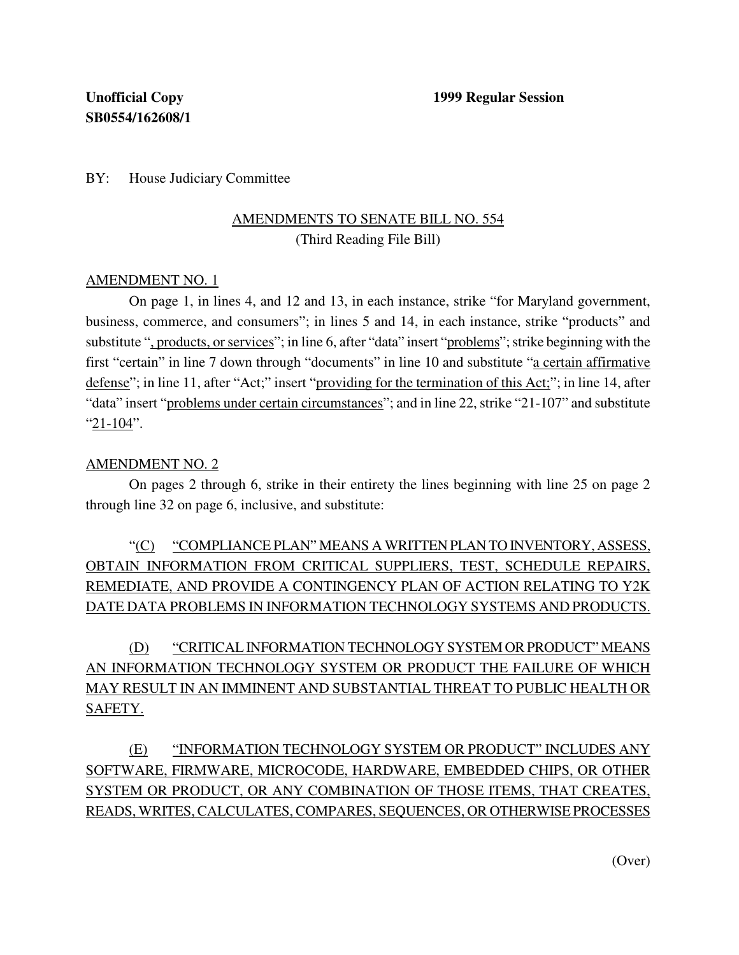BY: House Judiciary Committee

## AMENDMENTS TO SENATE BILL NO. 554 (Third Reading File Bill)

### AMENDMENT NO. 1

On page 1, in lines 4, and 12 and 13, in each instance, strike "for Maryland government, business, commerce, and consumers"; in lines 5 and 14, in each instance, strike "products" and substitute ", products, or services"; in line 6, after "data" insert "problems"; strike beginning with the first "certain" in line 7 down through "documents" in line 10 and substitute "a certain affirmative defense"; in line 11, after "Act;" insert "providing for the termination of this Act;"; in line 14, after "data" insert "problems under certain circumstances"; and in line 22, strike "21-107" and substitute "21-104".

#### AMENDMENT NO. 2

On pages 2 through 6, strike in their entirety the lines beginning with line 25 on page 2 through line 32 on page 6, inclusive, and substitute:

"(C) "COMPLIANCE PLAN" MEANS A WRITTEN PLAN TO INVENTORY, ASSESS, OBTAIN INFORMATION FROM CRITICAL SUPPLIERS, TEST, SCHEDULE REPAIRS, REMEDIATE, AND PROVIDE A CONTINGENCY PLAN OF ACTION RELATING TO Y2K DATE DATA PROBLEMS IN INFORMATION TECHNOLOGY SYSTEMS AND PRODUCTS.

(D) "CRITICAL INFORMATION TECHNOLOGY SYSTEM OR PRODUCT" MEANS AN INFORMATION TECHNOLOGY SYSTEM OR PRODUCT THE FAILURE OF WHICH MAY RESULT IN AN IMMINENT AND SUBSTANTIAL THREAT TO PUBLIC HEALTH OR SAFETY.

(E) "INFORMATION TECHNOLOGY SYSTEM OR PRODUCT" INCLUDES ANY SOFTWARE, FIRMWARE, MICROCODE, HARDWARE, EMBEDDED CHIPS, OR OTHER SYSTEM OR PRODUCT, OR ANY COMBINATION OF THOSE ITEMS, THAT CREATES, READS, WRITES, CALCULATES, COMPARES, SEQUENCES, OR OTHERWISEPROCESSES

(Over)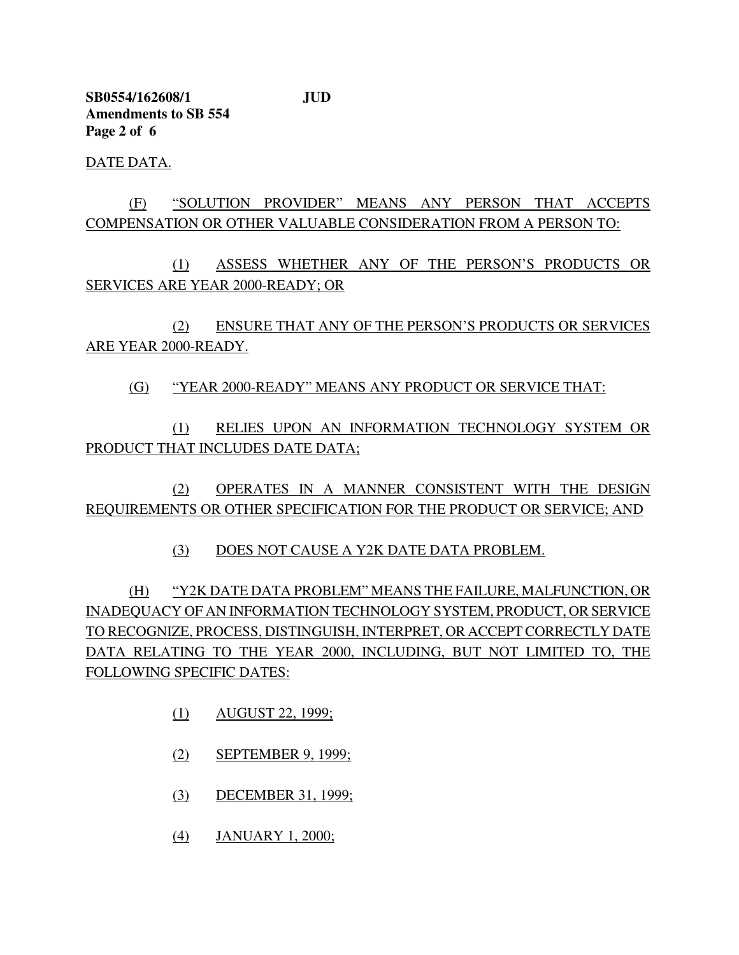**SB0554/162608/1 JUD Amendments to SB 554 Page 2 of 6**

DATE DATA.

# (F) "SOLUTION PROVIDER" MEANS ANY PERSON THAT ACCEPTS COMPENSATION OR OTHER VALUABLE CONSIDERATION FROM A PERSON TO:

(1) ASSESS WHETHER ANY OF THE PERSON'S PRODUCTS OR SERVICES ARE YEAR 2000-READY; OR

(2) ENSURE THAT ANY OF THE PERSON'S PRODUCTS OR SERVICES ARE YEAR 2000-READY.

(G) "YEAR 2000-READY" MEANS ANY PRODUCT OR SERVICE THAT:

(1) RELIES UPON AN INFORMATION TECHNOLOGY SYSTEM OR PRODUCT THAT INCLUDES DATE DATA;

(2) OPERATES IN A MANNER CONSISTENT WITH THE DESIGN REQUIREMENTS OR OTHER SPECIFICATION FOR THE PRODUCT OR SERVICE; AND

(3) DOES NOT CAUSE A Y2K DATE DATA PROBLEM.

(H) "Y2K DATE DATA PROBLEM" MEANS THE FAILURE, MALFUNCTION, OR INADEQUACY OF AN INFORMATION TECHNOLOGY SYSTEM, PRODUCT, OR SERVICE TO RECOGNIZE, PROCESS, DISTINGUISH, INTERPRET, OR ACCEPT CORRECTLY DATE DATA RELATING TO THE YEAR 2000, INCLUDING, BUT NOT LIMITED TO, THE FOLLOWING SPECIFIC DATES:

- (1) AUGUST 22, 1999;
- (2) SEPTEMBER 9, 1999;
- (3) DECEMBER 31, 1999;
- (4) JANUARY 1, 2000;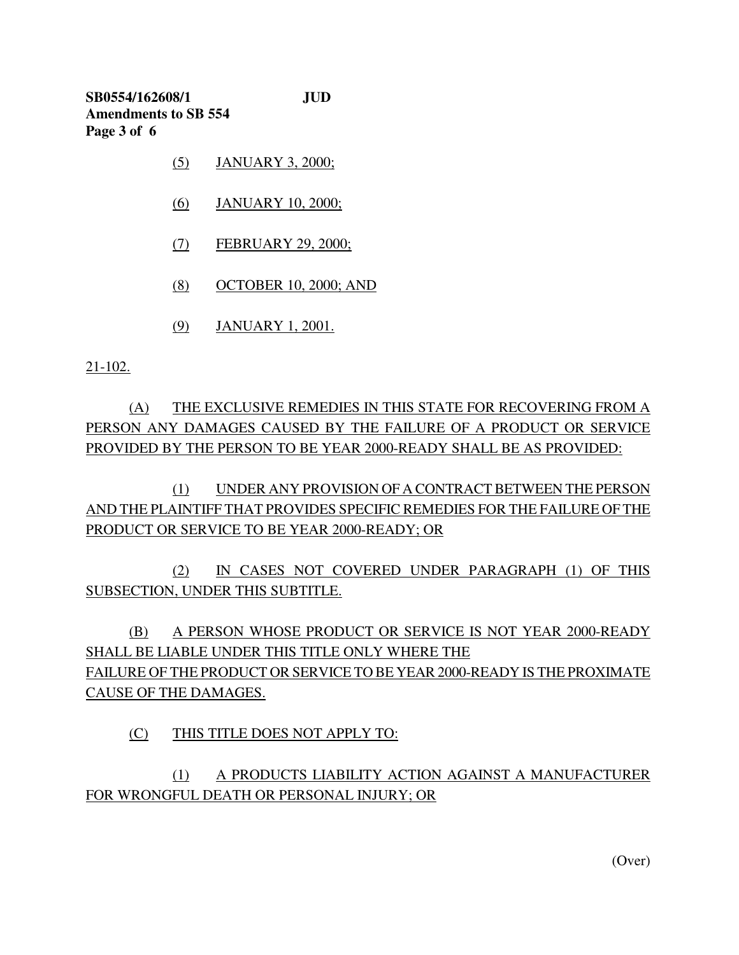**SB0554/162608/1 JUD Amendments to SB 554 Page 3 of 6**

- (5) JANUARY 3, 2000;
- (6) JANUARY 10, 2000;
- (7) FEBRUARY 29, 2000;
- (8) OCTOBER 10, 2000; AND
- (9) JANUARY 1, 2001.

21-102.

(A) THE EXCLUSIVE REMEDIES IN THIS STATE FOR RECOVERING FROM A PERSON ANY DAMAGES CAUSED BY THE FAILURE OF A PRODUCT OR SERVICE PROVIDED BY THE PERSON TO BE YEAR 2000-READY SHALL BE AS PROVIDED:

(1) UNDER ANY PROVISION OF A CONTRACT BETWEEN THE PERSON AND THE PLAINTIFF THAT PROVIDES SPECIFIC REMEDIES FOR THE FAILURE OF THE PRODUCT OR SERVICE TO BE YEAR 2000-READY; OR

(2) IN CASES NOT COVERED UNDER PARAGRAPH (1) OF THIS SUBSECTION, UNDER THIS SUBTITLE.

(B) A PERSON WHOSE PRODUCT OR SERVICE IS NOT YEAR 2000-READY SHALL BE LIABLE UNDER THIS TITLE ONLY WHERE THE FAILURE OF THE PRODUCT OR SERVICE TO BE YEAR 2000-READY IS THE PROXIMATE CAUSE OF THE DAMAGES.

## (C) THIS TITLE DOES NOT APPLY TO:

# (1) A PRODUCTS LIABILITY ACTION AGAINST A MANUFACTURER FOR WRONGFUL DEATH OR PERSONAL INJURY; OR

(Over)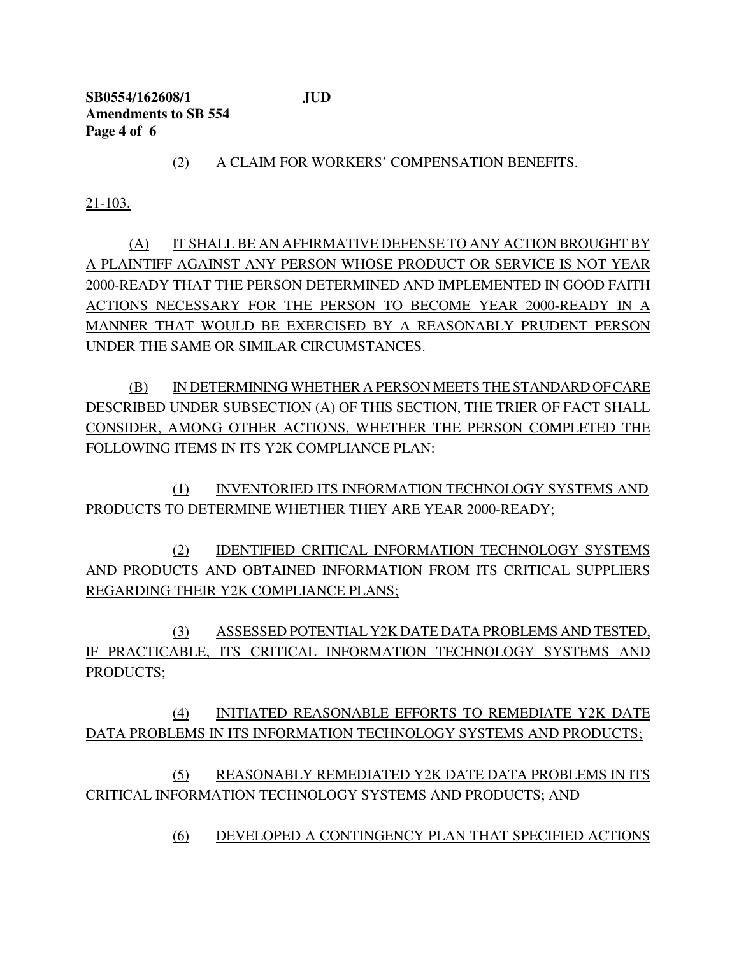**SB0554/162608/1 JUD Amendments to SB 554 Page 4 of 6**

(2) A CLAIM FOR WORKERS' COMPENSATION BENEFITS.

21-103.

(A) IT SHALL BE AN AFFIRMATIVE DEFENSE TO ANY ACTION BROUGHT BY A PLAINTIFF AGAINST ANY PERSON WHOSE PRODUCT OR SERVICE IS NOT YEAR 2000-READY THAT THE PERSON DETERMINED AND IMPLEMENTED IN GOOD FAITH ACTIONS NECESSARY FOR THE PERSON TO BECOME YEAR 2000-READY IN A MANNER THAT WOULD BE EXERCISED BY A REASONABLY PRUDENT PERSON UNDER THE SAME OR SIMILAR CIRCUMSTANCES.

(B) IN DETERMINING WHETHER A PERSON MEETS THE STANDARD OFCARE DESCRIBED UNDER SUBSECTION (A) OF THIS SECTION, THE TRIER OF FACT SHALL CONSIDER, AMONG OTHER ACTIONS, WHETHER THE PERSON COMPLETED THE FOLLOWING ITEMS IN ITS Y2K COMPLIANCE PLAN:

(1) INVENTORIED ITS INFORMATION TECHNOLOGY SYSTEMS AND PRODUCTS TO DETERMINE WHETHER THEY ARE YEAR 2000-READY;

(2) IDENTIFIED CRITICAL INFORMATION TECHNOLOGY SYSTEMS AND PRODUCTS AND OBTAINED INFORMATION FROM ITS CRITICAL SUPPLIERS REGARDING THEIR Y2K COMPLIANCE PLANS;

(3) ASSESSED POTENTIAL Y2K DATE DATA PROBLEMS AND TESTED, IF PRACTICABLE, ITS CRITICAL INFORMATION TECHNOLOGY SYSTEMS AND PRODUCTS;

(4) INITIATED REASONABLE EFFORTS TO REMEDIATE Y2K DATE DATA PROBLEMS IN ITS INFORMATION TECHNOLOGY SYSTEMS AND PRODUCTS;

(5) REASONABLY REMEDIATED Y2K DATE DATA PROBLEMS IN ITS CRITICAL INFORMATION TECHNOLOGY SYSTEMS AND PRODUCTS; AND

(6) DEVELOPED A CONTINGENCY PLAN THAT SPECIFIED ACTIONS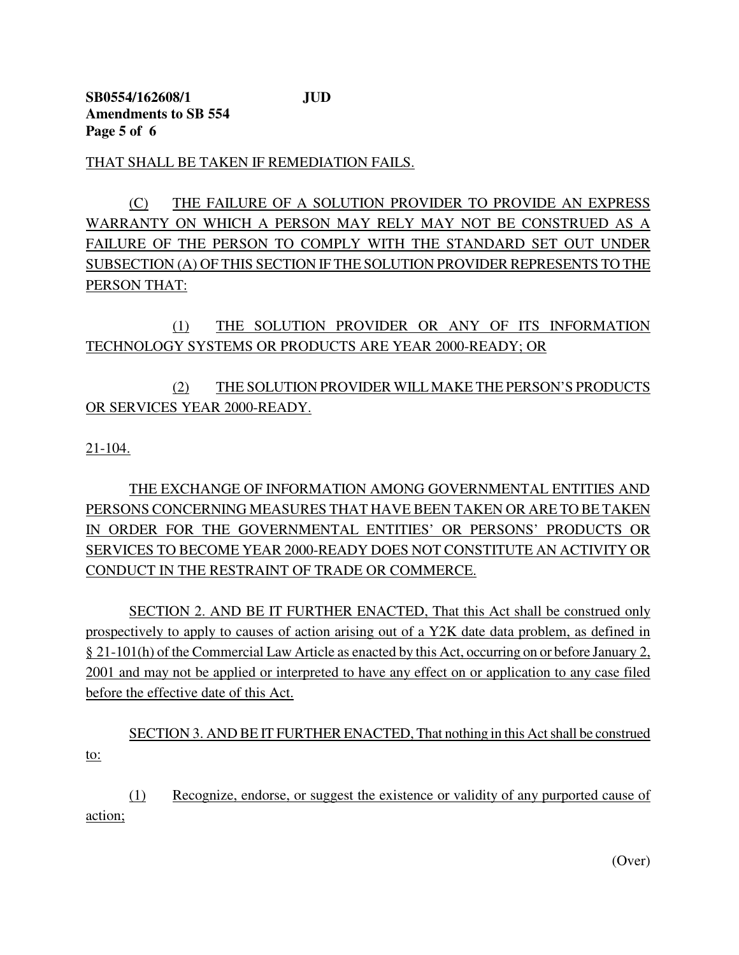THAT SHALL BE TAKEN IF REMEDIATION FAILS.

(C) THE FAILURE OF A SOLUTION PROVIDER TO PROVIDE AN EXPRESS WARRANTY ON WHICH A PERSON MAY RELY MAY NOT BE CONSTRUED AS A FAILURE OF THE PERSON TO COMPLY WITH THE STANDARD SET OUT UNDER SUBSECTION (A) OF THIS SECTION IF THE SOLUTION PROVIDER REPRESENTS TO THE PERSON THAT:

(1) THE SOLUTION PROVIDER OR ANY OF ITS INFORMATION TECHNOLOGY SYSTEMS OR PRODUCTS ARE YEAR 2000-READY; OR

## (2) THE SOLUTION PROVIDER WILL MAKE THE PERSON'S PRODUCTS OR SERVICES YEAR 2000-READY.

21-104.

THE EXCHANGE OF INFORMATION AMONG GOVERNMENTAL ENTITIES AND PERSONS CONCERNING MEASURES THAT HAVE BEEN TAKEN OR ARE TO BE TAKEN IN ORDER FOR THE GOVERNMENTAL ENTITIES' OR PERSONS' PRODUCTS OR SERVICES TO BECOME YEAR 2000-READY DOES NOT CONSTITUTE AN ACTIVITY OR CONDUCT IN THE RESTRAINT OF TRADE OR COMMERCE.

SECTION 2. AND BE IT FURTHER ENACTED, That this Act shall be construed only prospectively to apply to causes of action arising out of a Y2K date data problem, as defined in § 21-101(h) of the Commercial Law Article as enacted by this Act, occurring on or before January 2, 2001 and may not be applied or interpreted to have any effect on or application to any case filed before the effective date of this Act.

SECTION 3. AND BE IT FURTHER ENACTED, That nothing in this Act shall be construed to:

(1) Recognize, endorse, or suggest the existence or validity of any purported cause of action;

(Over)